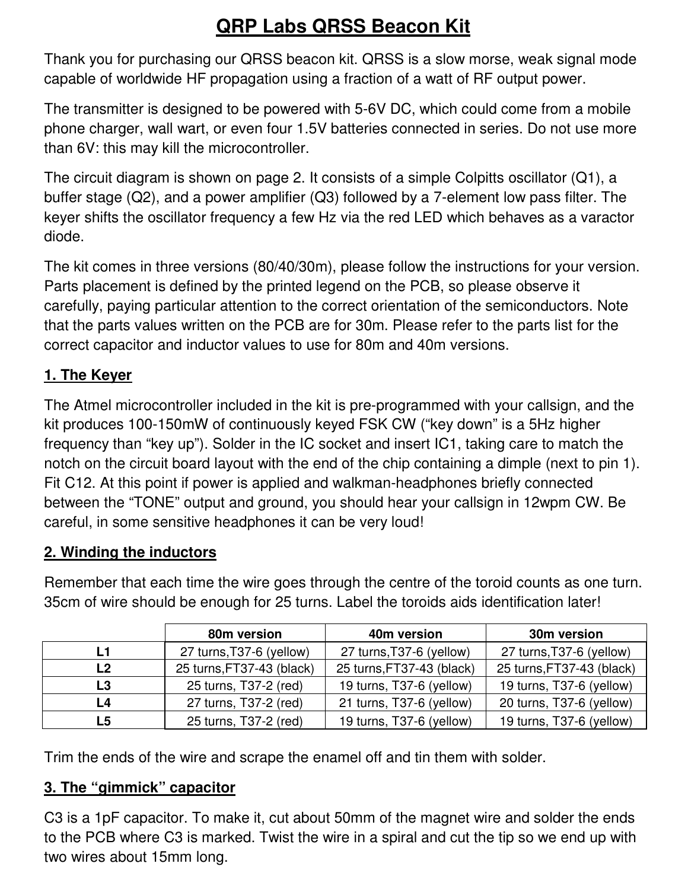# **QRP Labs QRSS Beacon Kit**

Thank you for purchasing our QRSS beacon kit. QRSS is a slow morse, weak signal mode capable of worldwide HF propagation using a fraction of a watt of RF output power.

The transmitter is designed to be powered with 5-6V DC, which could come from a mobile phone charger, wall wart, or even four 1.5V batteries connected in series. Do not use more than 6V: this may kill the microcontroller.

The circuit diagram is shown on page 2. It consists of a simple Colpitts oscillator (Q1), a buffer stage (Q2), and a power amplifier (Q3) followed by a 7-element low pass filter. The keyer shifts the oscillator frequency a few Hz via the red LED which behaves as a varactor diode.

The kit comes in three versions (80/40/30m), please follow the instructions for your version. Parts placement is defined by the printed legend on the PCB, so please observe it carefully, paying particular attention to the correct orientation of the semiconductors. Note that the parts values written on the PCB are for 30m. Please refer to the parts list for the correct capacitor and inductor values to use for 80m and 40m versions.

## **1. The Keyer**

The Atmel microcontroller included in the kit is pre-programmed with your callsign, and the kit produces 100-150mW of continuously keyed FSK CW ("key down" is a 5Hz higher frequency than "key up"). Solder in the IC socket and insert IC1, taking care to match the notch on the circuit board layout with the end of the chip containing a dimple (next to pin 1). Fit C12. At this point if power is applied and walkman-headphones briefly connected between the "TONE" output and ground, you should hear your callsign in 12wpm CW. Be careful, in some sensitive headphones it can be very loud!

## **2. Winding the inductors**

|    | 80m version               | 40m version               | 30m version               |  |
|----|---------------------------|---------------------------|---------------------------|--|
| L1 | 27 turns, T37-6 (yellow)  | 27 turns, T37-6 (yellow)  | 27 turns, T37-6 (yellow)  |  |
| L2 | 25 turns, FT37-43 (black) | 25 turns, FT37-43 (black) | 25 turns, FT37-43 (black) |  |
| L3 | 25 turns, T37-2 (red)     | 19 turns, T37-6 (yellow)  | 19 turns, T37-6 (yellow)  |  |
| L4 | 27 turns, T37-2 (red)     | 21 turns, T37-6 (yellow)  | 20 turns, T37-6 (yellow)  |  |
| L5 | 25 turns, T37-2 (red)     | 19 turns, T37-6 (yellow)  | 19 turns, T37-6 (yellow)  |  |

Remember that each time the wire goes through the centre of the toroid counts as one turn. 35cm of wire should be enough for 25 turns. Label the toroids aids identification later!

Trim the ends of the wire and scrape the enamel off and tin them with solder.

## **3. The "gimmick" capacitor**

C3 is a 1pF capacitor. To make it, cut about 50mm of the magnet wire and solder the ends to the PCB where C3 is marked. Twist the wire in a spiral and cut the tip so we end up with two wires about 15mm long.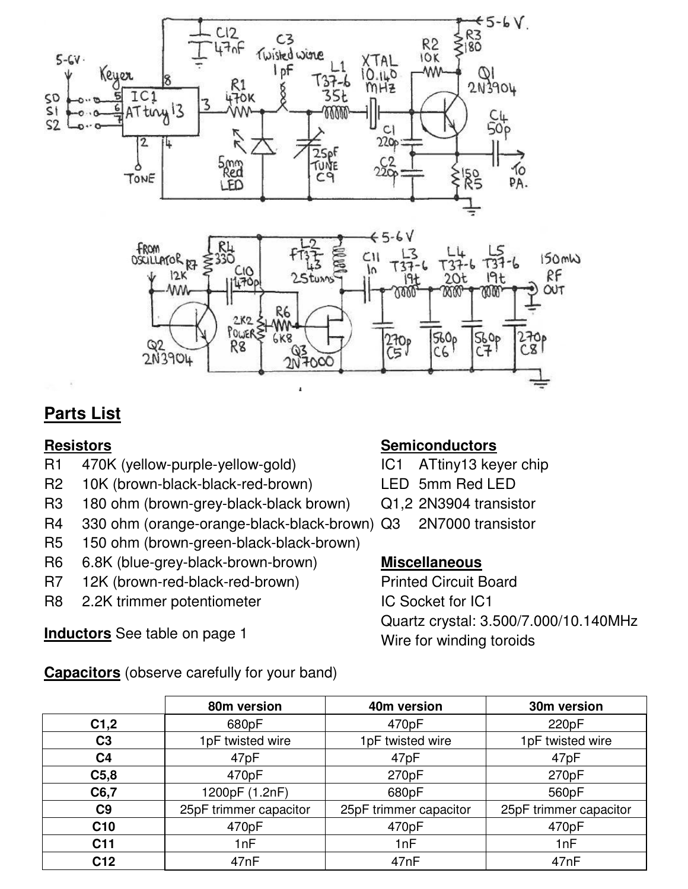

# **Parts List**

#### **Resistors**

- R1 470K (yellow-purple-yellow-gold)
- R2 10K (brown-black-black-red-brown)
- R3 180 ohm (brown-grey-black-black brown)
- R4 330 ohm (orange-orange-black-black-brown)
- R5 150 ohm (brown-green-black-black-brown)
- R6 6.8K (blue-grey-black-brown-brown)
- R7 12K (brown-red-black-red-brown)
- R8 2.2K trimmer potentiometer

**Inductors** See table on page 1

**Capacitors** (observe carefully for your band)

#### **Semiconductors**

IC1 ATtiny13 keyer chip

- LED 5mm Red LED
- Q1,2 2N3904 transistor
- Q3 2N7000 transistor

#### **Miscellaneous**

Printed Circuit Board IC Socket for IC1 Quartz crystal: 3.500/7.000/10.140MHz Wire for winding toroids

|                  | 80m version            | 40m version            | 30m version            |  |
|------------------|------------------------|------------------------|------------------------|--|
| C1,2             | 680pF                  | 470pF                  | 220pF                  |  |
| C <sub>3</sub>   | 1pF twisted wire       | 1pF twisted wire       | 1pF twisted wire       |  |
| C <sub>4</sub>   | 47pF                   | 47pF                   | 47pF                   |  |
| C <sub>5,8</sub> | 470pF                  | 270pF                  | 270pF                  |  |
| C6,7             | 1200pF (1.2nF)         | 680pF                  | 560pF                  |  |
| C <sub>9</sub>   | 25pF trimmer capacitor | 25pF trimmer capacitor | 25pF trimmer capacitor |  |
| C <sub>10</sub>  | 470pF                  | 470pF                  | 470pF                  |  |
| C <sub>11</sub>  | 1nF                    | 1nF                    | 1nF                    |  |
| C <sub>12</sub>  | 47nF                   | 47nF                   | 47nF                   |  |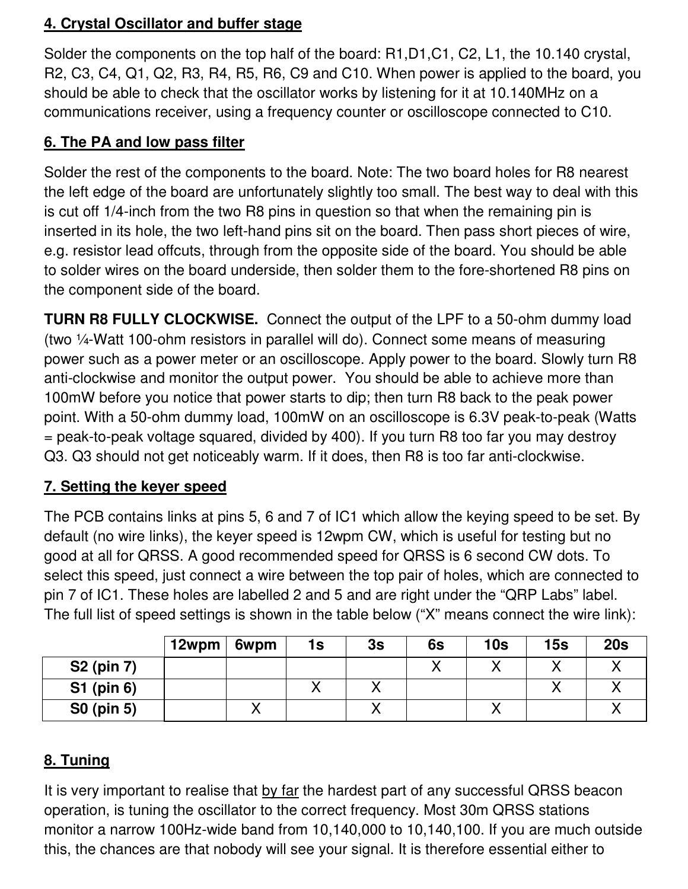## **4. Crystal Oscillator and buffer stage**

Solder the components on the top half of the board: R1,D1,C1, C2, L1, the 10.140 crystal, R2, C3, C4, Q1, Q2, R3, R4, R5, R6, C9 and C10. When power is applied to the board, you should be able to check that the oscillator works by listening for it at 10.140MHz on a communications receiver, using a frequency counter or oscilloscope connected to C10.

## **6. The PA and low pass filter**

Solder the rest of the components to the board. Note: The two board holes for R8 nearest the left edge of the board are unfortunately slightly too small. The best way to deal with this is cut off 1/4-inch from the two R8 pins in question so that when the remaining pin is inserted in its hole, the two left-hand pins sit on the board. Then pass short pieces of wire, e.g. resistor lead offcuts, through from the opposite side of the board. You should be able to solder wires on the board underside, then solder them to the fore-shortened R8 pins on the component side of the board.

**TURN R8 FULLY CLOCKWISE.** Connect the output of the LPF to a 50-ohm dummy load (two ¼-Watt 100-ohm resistors in parallel will do). Connect some means of measuring power such as a power meter or an oscilloscope. Apply power to the board. Slowly turn R8 anti-clockwise and monitor the output power. You should be able to achieve more than 100mW before you notice that power starts to dip; then turn R8 back to the peak power point. With a 50-ohm dummy load, 100mW on an oscilloscope is 6.3V peak-to-peak (Watts = peak-to-peak voltage squared, divided by 400). If you turn R8 too far you may destroy Q3. Q3 should not get noticeably warm. If it does, then R8 is too far anti-clockwise.

## **7. Setting the keyer speed**

The PCB contains links at pins 5, 6 and 7 of IC1 which allow the keying speed to be set. By default (no wire links), the keyer speed is 12wpm CW, which is useful for testing but no good at all for QRSS. A good recommended speed for QRSS is 6 second CW dots. To select this speed, just connect a wire between the top pair of holes, which are connected to pin 7 of IC1. These holes are labelled 2 and 5 and are right under the "QRP Labs" label. The full list of speed settings is shown in the table below ("X" means connect the wire link):

|                   | 12wpm | 6wpm | 1s | 3s | 6s | 10 <sub>s</sub> | 15s | 20s |
|-------------------|-------|------|----|----|----|-----------------|-----|-----|
| <b>S2 (pin 7)</b> |       |      |    |    |    |                 |     |     |
| <b>S1 (pin 6)</b> |       |      |    |    |    |                 |     |     |
| <b>S0 (pin 5)</b> |       |      |    |    |    |                 |     |     |

## **8. Tuning**

It is very important to realise that by far the hardest part of any successful QRSS beacon operation, is tuning the oscillator to the correct frequency. Most 30m QRSS stations monitor a narrow 100Hz-wide band from 10,140,000 to 10,140,100. If you are much outside this, the chances are that nobody will see your signal. It is therefore essential either to